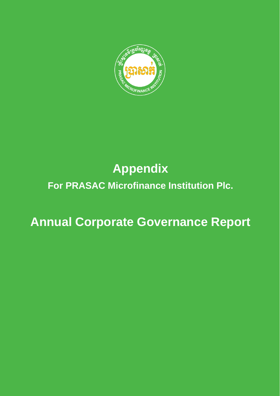

# **Appendix**

# **For PRASAC Microfinance Institution Plc.**

# **Annual Corporate Governance Report**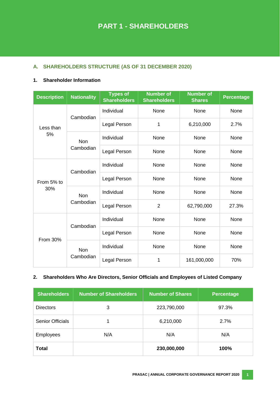# **A. SHAREHOLDERS STRUCTURE (AS OF 31 DECEMBER 2020)**

# **1. Shareholder Information**

| <b>Description</b> | <b>Nationality</b>      | <b>Types of</b><br><b>Shareholders</b> | <b>Number of</b><br><b>Shareholders</b> | <b>Number of</b><br><b>Shares</b> | <b>Percentage</b> |
|--------------------|-------------------------|----------------------------------------|-----------------------------------------|-----------------------------------|-------------------|
|                    | Cambodian               | Individual                             | None                                    | None                              | None              |
| Less than          |                         | Legal Person                           | 1                                       | 6,210,000                         | 2.7%              |
| 5%                 | <b>Non</b>              | Individual                             | None                                    | None                              | None              |
|                    | Cambodian               | Legal Person                           | None                                    | None                              | None              |
|                    | Cambodian               | Individual                             | None                                    | None                              | None              |
| From 5% to         |                         | Legal Person                           | None                                    | None                              | None              |
| 30%                | <b>Non</b><br>Cambodian | Individual                             | None                                    | None                              | None              |
|                    |                         | Legal Person                           | $\overline{2}$                          | 62,790,000                        | 27.3%             |
|                    | Cambodian               | Individual                             | None                                    | None                              | None              |
| <b>From 30%</b>    |                         | Legal Person                           | None                                    | None                              | None              |
|                    | Non                     | Individual                             | None                                    | None                              | None              |
|                    | Cambodian               | Legal Person                           | 1                                       | 161,000,000                       | 70%               |

#### **2. Shareholders Who Are Directors, Senior Officials and Employees of Listed Company**

| <b>Shareholders</b>     | <b>Number of Shareholders</b> | <b>Number of Shares</b> | <b>Percentage</b> |
|-------------------------|-------------------------------|-------------------------|-------------------|
| <b>Directors</b>        | 3                             | 223,790,000             | 97.3%             |
| <b>Senior Officials</b> |                               | 6,210,000               | 2.7%              |
| <b>Employees</b>        | N/A                           | N/A                     | N/A               |
| <b>Total</b>            |                               | 230,000,000             | 100%              |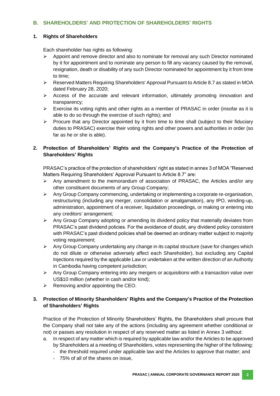# **B. SHAREHOLDERS' AND PROTECTION OF SHAREHOLDERS' RIGHTS**

#### **1. Rights of Shareholders**

Each shareholder has rights as following:

- $\triangleright$  Appoint and remove director and also to nominate for removal any such Director nominated by it for appointment and to nominate any person to fill any vacancy caused by the removal, resignation, death or disability of any such Director nominated for appointment by it from time to time;
- Reserved Matters Requiring Shareholders' Approval Pursuant to Article 8.7 as stated in MOA dated February 28, 2020;
- $\triangleright$  Access of the accurate and relevant information, ultimately promoting innovation and transparency;
- $\triangleright$  Exercise its voting rights and other rights as a member of PRASAC in order (insofar as it is able to do so through the exercise of such rights); and
- $\triangleright$  Procure that any Director appointed by it from time to time shall (subject to their fiduciary duties to PRASAC) exercise their voting rights and other powers and authorities in order (so far as he or she is able).

# **2. Protection of Shareholders' Rights and the Company's Practice of the Protection of Shareholders' Rights**

PRASAC's practice of the protection of shareholders' right as stated in annex 3 of MOA "Reserved Matters Requiring Shareholders' Approval Pursuant to Article 8.7" are:

- $\triangleright$  Any amendment to the memorandum of association of PRASAC, the Articles and/or any other constituent documents of any Group Company;
- $\triangleright$  Any Group Company commencing, undertaking or implementing a corporate re-organisation, restructuring (including any merger, consolidation or amalgamation), any IPO, winding-up, administration, appointment of a receiver, liquidation proceedings, or making or entering into any creditors' arrangement;
- $\triangleright$  Any Group Company adopting or amending its dividend policy that materially deviates from PRASAC's past dividend policies. For the avoidance of doubt, any dividend policy consistent with PRASAC's past dividend policies shall be deemed an ordinary matter subject to majority voting requirement;
- $\triangleright$  Any Group Company undertaking any change in its capital structure (save for changes which do not dilute or otherwise adversely affect each Shareholder), but excluding any Capital Injections required by the applicable Law or undertaken at the written direction of an Authority in Cambodia having competent jurisdiction;
- $\triangleright$  Any Group Company entering into any mergers or acquisitions with a transaction value over US\$10 million (whether in cash and/or kind);
- $\triangleright$  Removing and/or appointing the CEO.

# **3. Protection of Minority Shareholders' Rights and the Company's Practice of the Protection of Shareholders' Rights**

Practice of the Protection of Minority Shareholders' Rights, the Shareholders shall procure that the Company shall not take any of the actions (including any agreement whether conditional or not) or passes any resolution in respect of any reserved matter as listed in Annex 3 without:

- a. In respect of any matter which is required by applicable law and/or the Articles to be approved by Shareholders at a meeting of Shareholders, votes representing the higher of the following:
	- the threshold required under applicable law and the Articles to approve that matter; and
	- 75% of all of the shares on issue,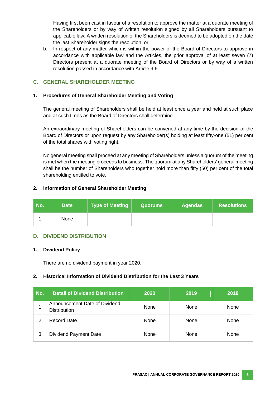Having first been cast in favour of a resolution to approve the matter at a quorate meeting of the Shareholders or by way of written resolution signed by all Shareholders pursuant to applicable law. A written resolution of the Shareholders is deemed to be adopted on the date the last Shareholder signs the resolution; or

b. In respect of any matter which is within the power of the Board of Directors to approve in accordance with applicable law and the Articles, the prior approval of at least seven (7) Directors present at a quorate meeting of the Board of Directors or by way of a written resolution passed in accordance with Article 9.6.

# **C. GENERAL SHAREHOLDER MEETING**

#### **1. Procedures of General Shareholder Meeting and Voting**

The general meeting of Shareholders shall be held at least once a year and held at such place and at such times as the Board of Directors shall determine.

An extraordinary meeting of Shareholders can be convened at any time by the decision of the Board of Directors or upon request by any Shareholder(s) holding at least fifty-one (51) per cent of the total shares with voting right.

No general meeting shall proceed at any meeting of Shareholders unless a quorum of the meeting is met when the meeting proceeds to business. The quorum at any Shareholders' general meeting shall be the number of Shareholders who together hold more than fifty (50) per cent of the total shareholding entitled to vote.

#### **2. Information of General Shareholder Meeting**

| No. | <b>Date</b> | Type of Meeting | <b>Quorums</b> , | <b>Agendas</b> | <b>Resolutions</b> |
|-----|-------------|-----------------|------------------|----------------|--------------------|
|     | <b>None</b> |                 |                  |                |                    |

#### **D. DIVIDEND DISTRIBUTION**

#### **1. Dividend Policy**

There are no dividend payment in year 2020.

#### **2. Historical Information of Dividend Distribution for the Last 3 Years**

| No. | <b>Detail of Dividend Distribution</b>               | 2020 | 2019 | 2018 |
|-----|------------------------------------------------------|------|------|------|
|     | Announcement Date of Dividend<br><b>Distribution</b> | None | None | None |
| 2   | <b>Record Date</b>                                   | None | None | None |
| 3   | <b>Dividend Payment Date</b>                         | None | None | None |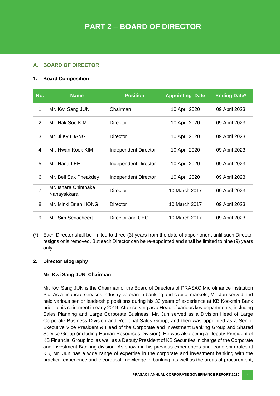# **A. BOARD OF DIRECTOR**

## **1. Board Composition**

| No.            | <b>Name</b>                         | <b>Position</b>      | <b>Appointing Date</b> | <b>Ending Date*</b> |
|----------------|-------------------------------------|----------------------|------------------------|---------------------|
| 1              | Mr. Kwi Sang JUN                    | Chairman             | 10 April 2020          | 09 April 2023       |
| $\overline{2}$ | Mr. Hak Soo KIM                     | Director             | 10 April 2020          | 09 April 2023       |
| 3              | Mr. Ji Kyu JANG                     | Director             | 10 April 2020          | 09 April 2023       |
| 4              | Mr. Hwan Kook KIM                   | Independent Director | 10 April 2020          | 09 April 2023       |
| 5              | Mr. Hana LEE                        | Independent Director | 10 April 2020          | 09 April 2023       |
| 6              | Mr. Bell Sak Pheakdey               | Independent Director | 10 April 2020          | 09 April 2023       |
| $\overline{7}$ | Mr. Ishara Chinthaka<br>Nanayakkara | <b>Director</b>      | 10 March 2017          | 09 April 2023       |
| 8              | Mr. Minki Brian HONG                | Director             | 10 March 2017          | 09 April 2023       |
| 9              | Mr. Sim Senacheert                  | Director and CEO     | 10 March 2017          | 09 April 2023       |

(\*) Each Director shall be limited to three (3) years from the date of appointment until such Director resigns or is removed. But each Director can be re-appointed and shall be limited to nine (9) years only.

#### **2. Director Biography**

#### **Mr. Kwi Sang JUN, Chairman**

Mr. Kwi Sang JUN is the Chairman of the Board of Directors of PRASAC Microfinance Institution Plc. As a financial services industry veteran in banking and capital markets, Mr. Jun served and held various senior leadership positions during his 33 years of experience at KB Kookmin Bank prior to his retirement in early 2019. After serving as a Head of various key departments, including Sales Planning and Large Corporate Business, Mr. Jun served as a Division Head of Large Corporate Business Division and Regional Sales Group, and then was appointed as a Senior Executive Vice President & Head of the Corporate and Investment Banking Group and Shared Service Group (including Human Resources Division). He was also being a Deputy President of KB Financial Group Inc. as well as a Deputy President of KB Securities in charge of the Corporate and Investment Banking division. As shown in his previous experiences and leadership roles at KB, Mr. Jun has a wide range of expertise in the corporate and investment banking with the practical experience and theoretical knowledge in banking, as well as the areas of procurement,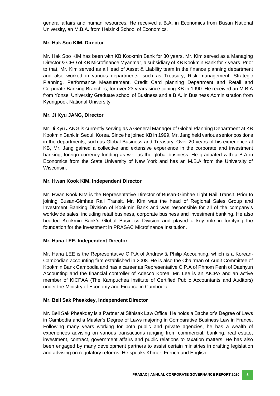general affairs and human resources. He received a B.A. in Economics from Busan National University, an M.B.A. from Helsinki School of Economics.

#### **Mr. Hak Soo KIM, Director**

Mr. Hak Soo KIM has been with KB Kookmin Bank for 30 years. Mr. Kim served as a Managing Director & CEO of KB Microfinance Myanmar, a subsidiary of KB Kookmin Bank for 7 years. Prior to that, Mr. Kim served as a Head of Asset & Liability team in the finance planning department and also worked in various departments, such as Treasury, Risk management, Strategic Planning, Performance Measurement, Credit Card planning Department and Retail and Corporate Banking Branches, for over 23 years since joining KB in 1990. He received an M.B.A from Yonsei University Graduate school of Business and a B.A. in Business Administration from Kyungpook National University.

#### **Mr. Ji Kyu JANG, Director**

Mr. Ji Kyu JANG is currently serving as a General Manager of Global Planning Department at KB Kookmin Bank in Seoul, Korea. Since he joined KB in 1999, Mr. Jang held various senior positions in the departments, such as Global Business and Treasury. Over 20 years of his experience at KB, Mr. Jang gained a collective and extensive experience in the corporate and investment banking, foreign currency funding as well as the global business. He graduated with a B.A in Economics from the State University of New York and has an M.B.A from the University of Wisconsin.

#### **Mr. Hwan Kook KIM, Independent Director**

Mr. Hwan Kook KIM is the Representative Director of Busan-Gimhae Light Rail Transit. Prior to joining Busan-Gimhae Rail Transit, Mr. Kim was the head of Regional Sales Group and Investment Banking Division of Kookmin Bank and was responsible for all of the company's worldwide sales, including retail business, corporate business and investment banking. He also headed Kookmin Bank's Global Business Division and played a key role in fortifying the foundation for the investment in PRASAC Microfinance Institution.

#### **Mr. Hana LEE, Independent Director**

Mr. Hana LEE is the Representative C.P.A of Andrew & Philip Accounting, which is a Korean-Cambodian accounting firm established in 2008. He is also the Chairman of Audit Committee of Kookmin Bank Cambodia and has a career as Representative C.P.A of Phnom Penh of Daehyun Accounting and the financial controller of Adecco Korea. Mr. Lee is an AICPA and an active member of KICPAA (The Kampuchea Institute of Certified Public Accountants and Auditors) under the Ministry of Economy and Finance in Cambodia.

#### **Mr. Bell Sak Pheakdey, Independent Director**

Mr. Bell Sak Pheakdey is a Partner at Sithisak Law Office. He holds a Bachelor's Degree of Laws in Cambodia and a Master's Degree of Laws majoring in Comparative Business Law in France. Following many years working for both public and private agencies, he has a wealth of experiences advising on various transactions ranging from commercial, banking, real estate, investment, contract, government affairs and public relations to taxation matters. He has also been engaged by many development partners to assist certain ministries in drafting legislation and advising on regulatory reforms. He speaks Khmer, French and English.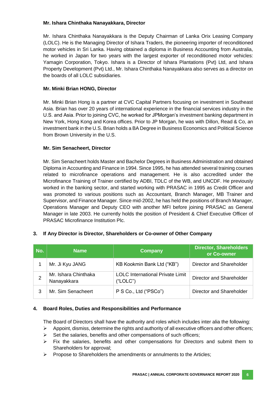#### **Mr. Ishara Chinthaka Nanayakkara, Director**

Mr. Ishara Chinthaka Nanayakkara is the Deputy Chairman of Lanka Orix Leasing Company (LOLC). He is the Managing Director of Ishara Traders, the pioneering importer of reconditioned motor vehicles in Sri Lanka. Having obtained a diploma in Business Accounting from Australia, he worked in Japan for two years with the largest exporter of reconditioned motor vehicles: Yamagin Corporation, Tokyo. Ishara is a Director of Ishara Plantations (Pvt) Ltd, and Ishara Property Development (Pvt) Ltd., Mr. Ishara Chinthaka Nanayakkara also serves as a director on the boards of all LOLC subsidiaries.

#### **Mr. Minki Brian HONG, Director**

Mr. Minki Brian Hong is a partner at CVC Capital Partners focusing on investment in Southeast Asia. Brian has over 20 years of international experience in the financial services industry in the U.S. and Asia. Prior to joining CVC, he worked for JPMorgan's investment banking department in New York, Hong Kong and Korea offices. Prior to JP Morgan, he was with Dillon, Read & Co, an investment bank in the U.S. Brian holds a BA Degree in Business Economics and Political Science from Brown University in the U.S.

#### **Mr. Sim Senacheert, Director**

Mr. Sim Senacheert holds Master and Bachelor Degrees in Business Administration and obtained Diploma in Accounting and Finance in 1994. Since 1995, he has attended several training courses related to microfinance operations and management. He is also accredited under the Microfinance Training of Trainer certified by ADBI, TDLC of the WB, and UNCDF. He previously worked in the banking sector, and started working with PRASAC in 1995 as Credit Officer and was promoted to various positions such as Accountant, Branch Manager, MB Trainer and Supervisor, and Finance Manager. Since mid-2002, he has held the positions of Branch Manager, Operations Manager and Deputy CEO with another MFI before joining PRASAC as General Manager in late 2003. He currently holds the position of President & Chief Executive Officer of PRASAC Microfinance Institution Plc.

#### **3. If Any Director is Director, Shareholders or Co-owner of Other Company**

| No. | <b>Name</b>                         | <b>Company</b>                                      | <b>Director, Shareholders</b><br>or Co-owner |
|-----|-------------------------------------|-----------------------------------------------------|----------------------------------------------|
|     | Mr. Ji Kyu JANG                     | KB Kookmin Bank Ltd ("KB")                          | Director and Shareholder                     |
|     | Mr. Ishara Chinthaka<br>Nanayakkara | <b>LOLC</b> International Private Limit<br>("LOLC") | Director and Shareholder                     |
| 3   | Mr. Sim Senacheert                  | P S Co., Ltd ("PSCo")                               | Director and Shareholder                     |

#### **4. Board Roles, Duties and Responsibilities and Performance**

The Board of Directors shall have the authority and roles which includes inter alia the following:

- $\triangleright$  Appoint, dismiss, determine the rights and authority of all executive officers and other officers;
- Set the salaries, benefits and other compensations of such officers;
- $\triangleright$  Fix the salaries, benefits and other compensations for Directors and submit them to Shareholders for approval;
- $\triangleright$  Propose to Shareholders the amendments or annulments to the Articles;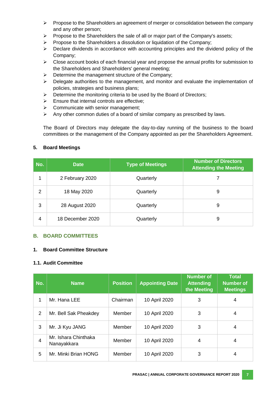- $\triangleright$  Propose to the Shareholders an agreement of merger or consolidation between the company and any other person;
- $\triangleright$  Propose to the Shareholders the sale of all or major part of the Company's assets;
- Propose to the Shareholders a dissolution or liquidation of the Company;
- $\triangleright$  Declare dividends in accordance with accounting principles and the dividend policy of the Company;
- $\triangleright$  Close account books of each financial year and propose the annual profits for submission to the Shareholders and Shareholders' general meeting;
- $\triangleright$  Determine the management structure of the Company;
- $\triangleright$  Delegate authorities to the management, and monitor and evaluate the implementation of policies, strategies and business plans;
- $\triangleright$  Determine the monitoring criteria to be used by the Board of Directors;
- $\triangleright$  Ensure that internal controls are effective;
- $\triangleright$  Communicate with senior management;
- $\triangleright$  Any other common duties of a board of similar company as prescribed by laws.

The Board of Directors may delegate the day-to-day running of the business to the board committees or the management of the Company appointed as per the Shareholders Agreement.

#### **5. Board Meetings**

| No.            | <b>Date</b>      | <b>Type of Meetings</b> | <b>Number of Directors</b><br><b>Attending the Meeting</b> |
|----------------|------------------|-------------------------|------------------------------------------------------------|
|                | 2 February 2020  | Quarterly               |                                                            |
| $\overline{2}$ | 18 May 2020      | Quarterly               | 9                                                          |
| 3              | 28 August 2020   | Quarterly               | 9                                                          |
| 4              | 18 December 2020 | Quarterly               | 9                                                          |

#### **B. BOARD COMMITTEES**

#### **1. Board Committee Structure**

#### **1.1. Audit Committee**

| No.            | <b>Name</b>                         | <b>Position</b> | <b>Appointing Date</b> | <b>Number of</b><br><b>Attending</b><br>the Meeting | <b>Total</b><br><b>Number of</b><br><b>Meetings</b> |
|----------------|-------------------------------------|-----------------|------------------------|-----------------------------------------------------|-----------------------------------------------------|
| 1              | Mr. Hana LEE                        | Chairman        | 10 April 2020          | 3                                                   | 4                                                   |
| $\overline{2}$ | Mr. Bell Sak Pheakdey               | Member          | 10 April 2020          | 3                                                   | 4                                                   |
| 3              | Mr. Ji Kyu JANG                     | Member          | 10 April 2020          | 3                                                   | 4                                                   |
| 4              | Mr. Ishara Chinthaka<br>Nanayakkara | Member          | 10 April 2020          | 4                                                   | 4                                                   |
| 5              | Mr. Minki Brian HONG                | Member          | 10 April 2020          | 3                                                   | 4                                                   |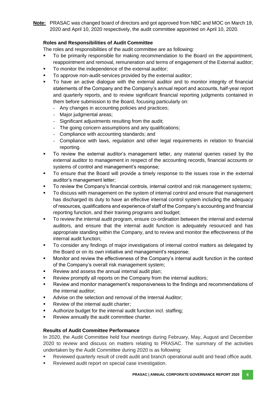**Note:** PRASAC was changed board of directors and got approved from NBC and MOC on March 19, 2020 and April 10, 2020 respectively, the audit committee appointed on April 10, 2020.

# **Roles and Responsibilities of Audit Committee**

The roles and responsibilities of the audit committee are as following:

- To be primarily responsible for making recommendation to the Board on the appointment, reappointment and removal, remuneration and terms of engagement of the External auditor;
- To monitor the independence of the external auditor;
- To approve non-audit-services provided by the external auditor;
- To have an active dialogue with the external auditor and to monitor integrity of financial statements of the Company and the Company's annual report and accounts, half-year report and quarterly reports, and to review significant financial reporting judgments contained in them before submission to the Board, focusing particularly on:
	- Any changes in accounting policies and practices;
	- Major judgmental areas;
	- Significant adjustments resulting from the audit;
	- The going concern assumptions and any qualifications;
	- Compliance with accounting standards; and
	- Compliance with laws, regulation and other legal requirements in relation to financial reporting.
- To review the external auditor's management letter, any material queries raised by the external auditor to management in respect of the accounting records, financial accounts or systems of control and management's response;
- To ensure that the Board will provide a timely response to the issues rose in the external auditor's management letter;
- To review the Company's financial controls, internal control and risk management systems;
- To discuss with management on the system of internal control and ensure that management has discharged its duty to have an effective internal control system including the adequacy of resources, qualifications and experience of staff of the Company's accounting and financial reporting function, and their training programs and budget;
- To review the internal audit program, ensure co-ordination between the internal and external auditors, and ensure that the internal audit function is adequately resourced and has appropriate standing within the Company, and to review and monitor the effectiveness of the internal audit function;
- To consider any findings of major investigations of internal control matters as delegated by the Board or on its own initiative and management's response;
- Monitor and review the effectiveness of the Company's internal audit function in the context of the Company's overall risk management system;
- Review and assess the annual internal audit plan;
- Review promptly all reports on the Company from the internal auditors;
- Review and monitor management's responsiveness to the findings and recommendations of the internal auditor;
- Advise on the selection and removal of the Internal Auditor;
- Review of the internal audit charter;
- Authorize budget for the internal audit function incl. staffing;
- Review annually the audit committee charter.

#### **Results of Audit Committee Performance**

In 2020, the Audit Committee held four meetings during February, May, August and December 2020 to review and discuss on matters relating to PRASAC. The summary of the activities undertaken by the Audit Committee during 2020 is as following:

- Reviewed quarterly result of credit audit and branch operational audit and head office audit.
- Reviewed audit report on special case investigation.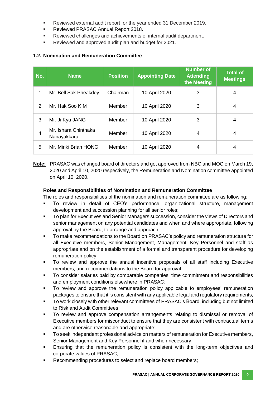- Reviewed external audit report for the year ended 31 December 2019.
- Reviewed PRASAC Annual Report 2018.
- Reviewed challenges and achievements of internal audit department.
- Reviewed and approved audit plan and budget for 2021.

## **1.2. Nomination and Remuneration Committee**

| No.            | <b>Name</b>                         | <b>Position</b> | <b>Appointing Date</b> | <b>Number of</b><br><b>Attending</b><br>the Meeting | <b>Total of</b><br><b>Meetings</b> |
|----------------|-------------------------------------|-----------------|------------------------|-----------------------------------------------------|------------------------------------|
| 1              | Mr. Bell Sak Pheakdey               | Chairman        | 10 April 2020          | 3                                                   | 4                                  |
| 2              | Mr. Hak Soo KIM                     | Member          | 10 April 2020          | 3                                                   | 4                                  |
| 3              | Mr. Ji Kyu JANG                     | Member          | 10 April 2020          | 3                                                   | 4                                  |
| $\overline{4}$ | Mr. Ishara Chinthaka<br>Nanayakkara | Member          | 10 April 2020          | 4                                                   | 4                                  |
| 5              | Mr. Minki Brian HONG                | Member          | 10 April 2020          | 4                                                   | 4                                  |

**Note:** PRASAC was changed board of directors and got approved from NBC and MOC on March 19, 2020 and April 10, 2020 respectively, the Remuneration and Nomination committee appointed on April 10, 2020.

#### **Roles and Responsibilities of Nomination and Remuneration Committee**

The roles and responsibilities of the nomination and remuneration committee are as following:

- To review in detail of CEO's performance, organizational structure, management development and succession planning for all senior roles;
- To plan for Executives and Senior Managers succession, consider the views of Directors and senior management on any potential candidates and when and where appropriate, following approval by the Board, to arrange and approach;
- To make recommendations to the Board on PRASAC's policy and remuneration structure for all Executive members, Senior Management, Management, Key Personnel and staff as appropriate and on the establishment of a formal and transparent procedure for developing remuneration policy;
- To review and approve the annual incentive proposals of all staff including Executive members; and recommendations to the Board for approval;
- To consider salaries paid by comparable companies, time commitment and responsibilities and employment conditions elsewhere in PRASAC;
- To review and approve the remuneration policy applicable to employees' remuneration packages to ensure that it is consistent with any applicable legal and regulatory requirements;
- To work closely with other relevant committees of PRASAC's Board, including but not limited to Risk and Audit Committees;
- To review and approve compensation arrangements relating to dismissal or removal of Executive members for misconduct to ensure that they are consistent with contractual terms and are otherwise reasonable and appropriate;
- To seek independent professional advice on matters of remuneration for Executive members, Senior Management and Key Personnel if and when necessary;
- Ensuring that the remuneration policy is consistent with the long-term objectives and corporate values of PRASAC;
- Recommending procedures to select and replace board members;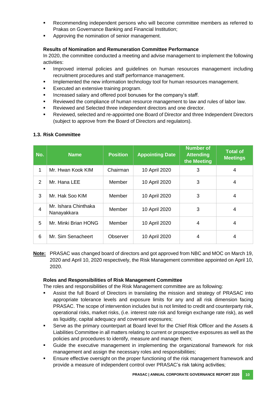- Recommending independent persons who will become committee members as referred to Prakas on Governance Banking and Financial Institution;
- Approving the nomination of senior management.

### **Results of Nomination and Remuneration Committee Performance**

In 2020, the committee conducted a meeting and advise management to implement the following activities:

- Improved internal policies and guidelines on human resources management including recruitment procedures and staff performance management.
- Implemented the new information technology tool for human resources management.
- Executed an extensive training program.
- Increased salary and offered pool bonuses for the company's staff.
- Reviewed the compliance of human resource management to law and rules of labor law.
- Reviewed and Selected three independent directors and one director.
- Reviewed, selected and re-appointed one Board of Director and three Independent Directors (subject to approve from the Board of Directors and regulators).

# **1.3. Risk Committee**

| No.            | <b>Name</b>                         | <b>Position</b> | <b>Appointing Date</b> | <b>Number of</b><br><b>Attending</b><br>the Meeting | <b>Total of</b><br><b>Meetings</b> |
|----------------|-------------------------------------|-----------------|------------------------|-----------------------------------------------------|------------------------------------|
| 1              | Mr. Hwan Kook KIM                   | Chairman        | 10 April 2020          | 3                                                   | $\overline{4}$                     |
| 2              | Mr. Hana LEE                        | Member          | 10 April 2020          | 3                                                   | 4                                  |
| 3              | Mr. Hak Soo KIM                     | Member          | 10 April 2020          | 3                                                   | 4                                  |
| $\overline{4}$ | Mr. Ishara Chinthaka<br>Nanayakkara | Member          | 10 April 2020          | 3                                                   | $\overline{4}$                     |
| 5              | Mr. Minki Brian HONG                | Member          | 10 April 2020          | 4                                                   | 4                                  |
| 6              | Mr. Sim Senacheert                  | Observer        | 10 April 2020          | 4                                                   | 4                                  |

**Note:** PRASAC was changed board of directors and got approved from NBC and MOC on March 19, 2020 and April 10, 2020 respectively, the Risk Management committee appointed on April 10, 2020.

#### **Roles and Responsibilities of Risk Management Committee**

The roles and responsibilities of the Risk Management committee are as following:

- Assist the full Board of Directors in translating the mission and strategy of PRASAC into appropriate tolerance levels and exposure limits for any and all risk dimension facing PRASAC. The scope of intervention includes but is not limited to credit and counterparty risk, operational risks, market risks, (i.e. interest rate risk and foreign exchange rate risk), as well as liquidity, capital adequacy and covenant exposures;
- Serve as the primary counterpart at Board level for the Chief Risk Officer and the Assets & Liabilities Committee in all matters relating to current or prospective exposures as well as the policies and procedures to identify, measure and manage them;
- Guide the executive management in implementing the organizational framework for risk management and assign the necessary roles and responsibilities;
- Ensure effective oversight on the proper functioning of the risk management framework and provide a measure of independent control over PRASAC's risk taking activities;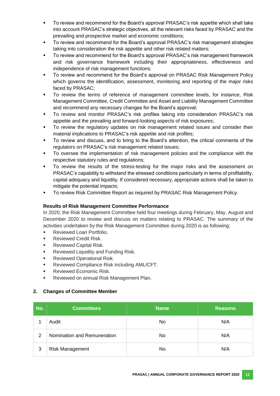- To review and recommend for the Board's approval PRASAC's risk appetite which shall take into account PRASAC's strategic objectives, all the relevant risks faced by PRASAC and the prevailing and prospective market and economic conditions;
- To review and recommend for the Board's approval PRASAC's risk management strategies taking into consideration the risk appetite and other risk related matters;
- To review and recommend for the Board's approval PRASAC's risk management framework and risk governance framework including their appropriateness, effectiveness and independence of risk management functions;
- To review and recommend for the Board's approval on PRASAC Risk Management Policy which governs the identification, assessment, monitoring and reporting of the major risks faced by PRASAC;
- To review the terms of reference of management committee levels, for instance, Risk Management Committee, Credit Committee and Asset and Liability Management Committee and recommend any necessary changes for the Board's approval;
- To review and monitor PRASAC's risk profiles taking into consideration PRASAC's risk appetite and the prevailing and forward-looking aspects of risk exposures;
- To review the regulatory updates on risk management related issues and consider their material implications to PRASAC's risk appetite and risk profiles;
- To review and discuss, and to bring to the Board's attention, the critical comments of the regulators on PRASAC's risk management related issues;
- To oversee the implementation of risk management policies and the compliance with the respective statutory rules and regulations;
- To review the results of the stress-testing for the major risks and the assessment on PRASAC's capability to withstand the stressed conditions particularly in terms of profitability, capital adequacy and liquidity. If considered necessary, appropriate actions shall be taken to mitigate the potential impacts;
- To review Risk Committee Report as required by PRASAC Risk Management Policy.

#### **Results of Risk Management Committee Performance**

In 2020, the Risk Management Committee held four meetings during February, May, August and December 2020 to review and discuss on matters relating to PRASAC. The summary of the activities undertaken by the Risk Management Committee during 2020 is as following:

- Reviewed Loan Portfolio.
- **Reviewed Credit Risk.**
- **Reviewed Capital Risk.**
- **Reviewed Liquidity and Funding Risk.**
- **Reviewed Operational Risk.**
- Reviewed Compliance Risk including AML/CFT.
- Reviewed Economic Risk.
- Reviewed on annual Risk Management Plan.

#### **2. Changes of Committee Member**

| No. | <b>Committees</b>           | <b>Name</b> | <b>Reasons</b> |
|-----|-----------------------------|-------------|----------------|
|     | Audit                       | No          | N/A            |
| 2   | Nomination and Remuneration | No          | N/A            |
| 3   | <b>Risk Management</b>      | No          | N/A            |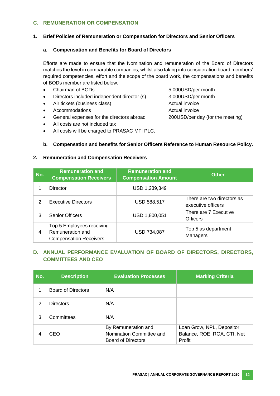# **C. REMUNERATION OR COMPENSATION**

#### **1. Brief Policies of Remuneration or Compensation for Directors and Senior Officers**

#### **a. Compensation and Benefits for Board of Directors**

Efforts are made to ensure that the Nomination and remuneration of the Board of Directors matches the level in comparable companies, whilst also taking into consideration board members' required competencies, effort and the scope of the board work, the compensations and benefits of BODs member are listed below:

- Chairman of BODs 5,000USD/per month
- Directors included independent director (s) 3,000USD/per month
- Air tickets (business class) Actual invoice
- Accommodations **Actual** invoice
- General expenses for the directors abroad 200USD/per day (for the meeting)
- All costs are not included tax
- All costs will be charged to PRASAC MFI PLC.

#### **b. Compensation and benefits for Senior Officers Reference to Human Resource Policy.**

#### **2. Remuneration and Compensation Receivers**

| No.            | <b>Remuneration and</b><br><b>Compensation Receivers</b>                       | <b>Remuneration and</b><br><b>Compensation Amount</b> | <b>Other</b>                                     |
|----------------|--------------------------------------------------------------------------------|-------------------------------------------------------|--------------------------------------------------|
|                | Director                                                                       | USD 1,239,349                                         |                                                  |
| 2              | <b>Executive Directors</b>                                                     | <b>USD 588,517</b>                                    | There are two directors as<br>executive officers |
| 3              | <b>Senior Officers</b>                                                         | USD 1,800,051                                         | There are 7 Executive<br><b>Officers</b>         |
| $\overline{4}$ | Top 5 Employees receiving<br>Remuneration and<br><b>Compensation Receivers</b> | <b>USD 734,087</b>                                    | Top 5 as department<br>Managers                  |

#### **D. ANNUAL PERFORMANCE EVALUATION OF BOARD OF DIRECTORS, DIRECTORS, COMMITTEES AND CEO**

| No. | <b>Description</b> | <b>Evaluation Processes</b>                                                  | <b>Marking Criteria</b>                                            |
|-----|--------------------|------------------------------------------------------------------------------|--------------------------------------------------------------------|
|     | Board of Directors | N/A                                                                          |                                                                    |
| 2   | <b>Directors</b>   | N/A                                                                          |                                                                    |
| 3   | Committees         | N/A                                                                          |                                                                    |
| 4   | CEO                | By Remuneration and<br>Nomination Committee and<br><b>Board of Directors</b> | Loan Grow, NPL, Depositor<br>Balance, ROE, ROA, CTI, Net<br>Profit |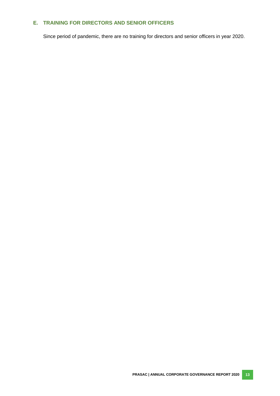#### **E. TRAINING FOR DIRECTORS AND SENIOR OFFICERS**

Since period of pandemic, there are no training for directors and senior officers in year 2020.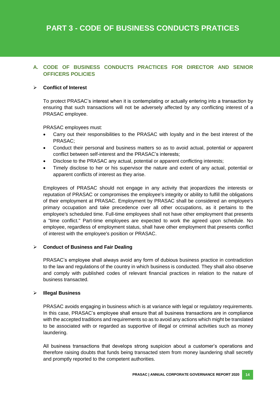# **A. CODE OF BUSINESS CONDUCTS PRACTICES FOR DIRECTOR AND SENIOR OFFICERS POLICIES**

#### **Conflict of Interest**

To protect PRASAC's interest when it is contemplating or actually entering into a transaction by ensuring that such transactions will not be adversely affected by any conflicting interest of a PRASAC employee.

PRASAC employees must:

- Carry out their responsibilities to the PRASAC with loyalty and in the best interest of the PRASAC;
- Conduct their personal and business matters so as to avoid actual, potential or apparent conflict between self-interest and the PRASAC's interests;
- Disclose to the PRASAC any actual, potential or apparent conflicting interests;
- Timely disclose to her or his supervisor the nature and extent of any actual, potential or apparent conflicts of interest as they arise.

Employees of PRASAC should not engage in any activity that jeopardizes the interests or reputation of PRASAC or compromises the employee's integrity or ability to fulfill the obligations of their employment at PRASAC. Employment by PRASAC shall be considered an employee's primary occupation and take precedence over all other occupations, as it pertains to the employee's scheduled time. Full-time employees shall not have other employment that presents a "time conflict." Part-time employees are expected to work the agreed upon schedule. No employee, regardless of employment status, shall have other employment that presents conflict of interest with the employee's position or PRASAC.

#### **Conduct of Business and Fair Dealing**

PRASAC's employee shall always avoid any form of dubious business practice in contradiction to the law and regulations of the country in which business is conducted. They shall also observe and comply with published codes of relevant financial practices in relation to the nature of business transacted.

#### **Illegal Business**

PRASAC avoids engaging in business which is at variance with legal or regulatory requirements. In this case, PRASAC's employee shall ensure that all business transactions are in compliance with the accepted traditions and requirements so as to avoid any actions which might be translated to be associated with or regarded as supportive of illegal or criminal activities such as money laundering.

All business transactions that develops strong suspicion about a customer's operations and therefore raising doubts that funds being transacted stem from money laundering shall secretly and promptly reported to the competent authorities.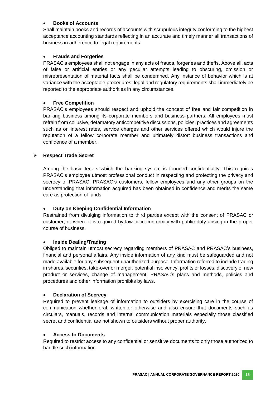#### **Books of Accounts**

Shall maintain books and records of accounts with scrupulous integrity conforming to the highest acceptance accounting standards reflecting in an accurate and timely manner all transactions of business in adherence to legal requirements.

#### **Frauds and Forgeries**

PRASAC's employees shall not engage in any acts of frauds, forgeries and thefts. Above all, acts of false or artificial entries or any peculiar attempts leading to obscuring, omission or misrepresentation of material facts shall be condemned. Any instance of behavior which is at variance with the acceptable procedures, legal and regulatory requirements shall immediately be reported to the appropriate authorities in any circumstances.

#### **Free Competition**

PRASAC's employees should respect and uphold the concept of free and fair competition in banking business among its corporate members and business partners. All employees must refrain from collusive, defamatory anticompetitive discussions, policies, practices and agreements such as on interest rates, service charges and other services offered which would injure the reputation of a fellow corporate member and ultimately distort business transactions and confidence of a member.

#### **Respect Trade Secret**

Among the basic tenets which the banking system is founded confidentiality. This requires PRASAC's employee utmost professional conduct in respecting and protecting the privacy and secrecy of PRASAC, PRASAC's customers, fellow employees and any other groups on the understanding that information acquired has been obtained in confidence and merits the same care as protection of funds.

#### **Duty on Keeping Confidential Information**

Restrained from divulging information to third parties except with the consent of PRASAC or customer, or where it is required by law or in conformity with public duty arising in the proper course of business.

#### **Inside Dealing/Trading**

Obliged to maintain utmost secrecy regarding members of PRASAC and PRASAC's business, financial and personal affairs. Any inside information of any kind must be safeguarded and not made available for any subsequent unauthorized purpose. Information referred to include trading in shares, securities, take-over or merger, potential insolvency, profits or losses, discovery of new product or services, change of management, PRASAC's plans and methods, policies and procedures and other information prohibits by laws.

#### **Declaration of Secrecy**

Required to prevent leakage of information to outsiders by exercising care in the course of communication whether oral, written or otherwise and also ensure that documents such as circulars, manuals, records and internal communication materials especially those classified secret and confidential are not shown to outsiders without proper authority.

#### **Access to Documents**

Required to restrict access to any confidential or sensitive documents to only those authorized to handle such information.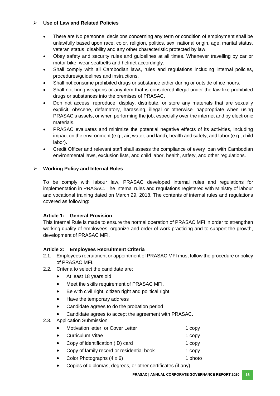#### **Use of Law and Related Policies**

- There are No personnel decisions concerning any term or condition of employment shall be unlawfully based upon race, color, religion, politics, sex, national origin, age, marital status, veteran status, disability and any other characteristic protected by law.
- Obey safety and security rules and guidelines at all times. Whenever travelling by car or motor bike, wear seatbelts and helmet accordingly.
- Shall comply with all Cambodian laws, rules and regulations including internal policies, procedures/guidelines and instructions.
- Shall not consume prohibited drugs or substance either during or outside office hours.
- Shall not bring weapons or any item that is considered illegal under the law like prohibited drugs or substances into the premises of PRASAC.
- Don not access, reproduce, display, distribute, or store any materials that are sexually explicit, obscene, defamatory, harassing, illegal or otherwise inappropriate when using PRASAC's assets, or when performing the job, especially over the internet and by electronic materials.
- PRASAC evaluates and minimize the potential negative effects of its activities, including impact on the environment (e.g., air, water, and land), health and safety, and labor (e.g., child labor).
- Credit Officer and relevant staff shall assess the compliance of every loan with Cambodian environmental laws, exclusion lists, and child labor, health, safety, and other regulations.

#### **Working Policy and Internal Rules**

To be comply with labour law, PRASAC developed internal rules and regulations for implementation in PRASAC. The internal rules and regulations registered with Ministry of labour and vocational training dated on March 29, 2018. The contents of internal rules and regulations covered as following:

#### **Article 1: General Provision**

This Internal Rule is made to ensure the normal operation of PRASAC MFI in order to strengthen working quality of employees, organize and order of work practicing and to support the growth, development of PRASAC MFI.

#### **Article 2: Employees Recruitment Criteria**

- 2.1. Employees recruitment or appointment of PRASAC MFI must follow the procedure or policy of PRASAC MFI.
- 2.2. Criteria to select the candidate are:
	- At least 18 years old
	- Meet the skills requirement of PRASAC MFI.
	- Be with civil right, citizen right and political right
	- Have the temporary address
	- Candidate agrees to do the probation period
	- Candidate agrees to accept the agreement with PRASAC.

#### 2.3. Application Submission

| Motivation letter; or Cover Letter | 1 copy |
|------------------------------------|--------|
| $\bigcap$ and such as $U(t)$       | .      |

- Curriculum Vitae 1 copy Copy of identification (ID) card 1 copy
- Copy of family record or residential book 1 copy
- Color Photographs  $(4 \times 6)$  1 photo
- Copies of diplomas, degrees, or other certificates (if any).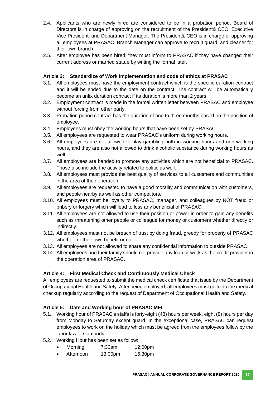- 2.4. Applicants who are newly hired are considered to be in a probation period. Board of Directors is in charge of approving on the recruitment of the President& CEO, Executive Vice President, and Department Manager. The President& CEO is in charge of approving all employees at PRASAC. Branch Manager can approve to recruit guard, and cleaner for their own branch.
- 2.5. After employee has been hired, they must inform to PRASAC if they have changed their current address or married statue by writing the formal later.

# **Article 3: Standardize of Work Implementation and code of ethics at PRASAC**

- 3.1. All employees must have the employment contract which is the specific duration contract and it will be ended due to the date on the contract. The contract will be automatically become an unfix duration contract if its duration is more than 2 years.
- 3.2. Employment contract is made in the formal written letter between PRASAC and employee without forcing from other party.
- 3.3. Probation period contract has the duration of one to three months based on the position of employee.
- 3.4. Employees must obey the working hours that have been set by PRASAC.
- 3.5. All employees are requested to wear PRASAC's uniform during working hours.
- 3.6. All employees are not allowed to play gambling both in working hours and non-working hours, and they are also not allowed to drink alcoholic substance during working hours as well.
- 3.7. All employees are banded to promote any activities which are not beneficial to PRASAC. Those also include the activity related to politic as well.
- 3.8. All employees must provide the best quality of services to all customers and communities in the area of their operation.
- 3.9. All employees are requested to have a good morality and communication with customers, and people nearby as well as other competitors.
- 3.10. All employees must be loyalty to PRASAC, manager, and colleagues by NOT fraud or bribery or forgery which will lead to loss any beneficial of PRASAC.
- 3.11. All employees are not allowed to use their position or power in order to gain any benefits such as threatening other people or colleague for money or customers whether directly or indirectly.
- 3.12. All employees must not be breach of trust by doing fraud, greedy for property of PRASAC whether for their own benefit or not.
- 3.13. All employees are not allowed to share any confidential information to outside PRASAC.
- 3.14. All employees and their family should not provide any loan or work as the credit provider in the operation area of PRASAC.

#### **Article 4: First Medical Check and Continuously Medical Check**

All employees are requested to submit the medical check certificate that issue by the Department of Occupational Health and Safety. After being employed, all employees must go to do the medical checkup regularly according to the request of Department of Occupational Health and Safety.

#### **Article 5: Date and Working hour of PRASAC MFI**

- 5.1. Working hour of PRASAC's staffs is forty-eight (48) hours per week, eight (8) hours per day from Monday to Saturday except guard. In the exceptional case, PRASAC can request employees to work on the holiday which must be agreed from the employees follow by the labor law of Cambodia.
- 5.2. Working Hour has been set as follow:
	- Morning 7:30am 12:00pm
	- Afternoon 13:00pm 16:30pm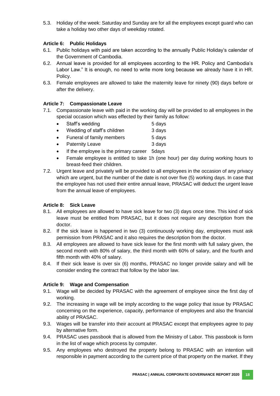5.3. Holiday of the week: Saturday and Sunday are for all the employees except guard who can take a holiday two other days of weekday rotated.

## **Article 6: Public Holidays**

- 6.1. Public holidays with paid are taken according to the annually Public Holiday's calendar of the Government of Cambodia.
- 6.2. Annual leave is provided for all employees according to the HR. Policy and Cambodia's Labor Law." It is enough, no need to write more long because we already have it in HR. Policy.
- 6.3. Female employees are allowed to take the maternity leave for ninety (90) days before or after the delivery.

#### **Article 7: Compassionate Leave**

- 7.1. Compassionate leave with paid in the working day will be provided to all employees in the special occasion which was effected by their family as follow:
	- Staff's wedding 5 days
	- Wedding of staff's children 3 days
	- Funeral of family members 5 days
	- Paternity Leave 3 days
	- If the employee is the primary career 5days
	- Female employee is entitled to take 1h (one hour) per day during working hours to breast-feed their children.
- 7.2. Urgent leave and privately will be provided to all employees in the occasion of any privacy which are urgent, but the number of the date is not over five (5) working days. In case that the employee has not used their entire annual leave, PRASAC will deduct the urgent leave from the annual leave of employees.

#### **Article 8: Sick Leave**

- 8.1. All employees are allowed to have sick leave for two (3) days once time. This kind of sick leave must be entitled from PRASAC, but it does not require any description from the doctor.
- 8.2. If the sick leave is happened in two (3) continuously working day, employees must ask permission from PRASAC and it also requires the description from the doctor.
- 8.3. All employees are allowed to have sick leave for the first month with full salary given, the second month with 80% of salary, the third month with 60% of salary, and the fourth and fifth month with 40% of salary.
- 8.4. If their sick leave is over six (6) months, PRASAC no longer provide salary and will be consider ending the contract that follow by the labor law.

#### **Article 9: Wage and Compensation**

- 9.1. Wage will be decided by PRASAC with the agreement of employee since the first day of working.
- 9.2. The increasing in wage will be imply according to the wage policy that issue by PRASAC concerning on the experience, capacity, performance of employees and also the financial ability of PRASAC.
- 9.3. Wages will be transfer into their account at PRASAC except that employees agree to pay by alternative form.
- 9.4. PRASAC uses passbook that is allowed from the Ministry of Labor. This passbook is form in the list of wage which process by computer.
- 9.5. Any employees who destroyed the property belong to PRASAC with an intention will responsible in payment according to the current price of that property on the market. If they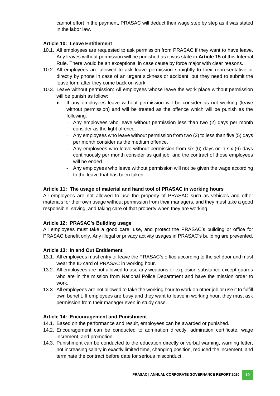cannot effort in the payment, PRASAC will deduct their wage step by step as it was stated in the labor law.

#### **Article 10: Leave Entitlement**

- 10.1. All employees are requested to ask permission from PRASAC if they want to have leave. Any leaves without permission will be punished as it was state in **Article 15** of this Internal Rule. There would be an exceptional in case cause by force major with clear reasons.
- 10.2. All employees are allowed to ask leave permission straightly to their representative or directly by phone in case of an urgent sickness or accident, but they need to submit the leave form after they come back on work.
- 10.3. Leave without permission: All employees whose leave the work place without permission will be punish as follow:
	- If any employees leave without permission will be consider as not working (leave without permission) and will be treated as the offence which will be punish as the following:
		- Any employees who leave without permission less than two (2) days per month consider as the light offence.
		- Any employees who leave without permission from two (2) to less than five (5) days per month consider as the medium offence.
		- Any employees who leave without permission from six (6) days or in six (6) days continuously per month consider as quit job, and the contract of those employees will be ended.
		- Any employees who leave without permission will not be given the wage according to the leave that has been taken.

#### **Article 11: The usage of material and hand tool of PRASAC in working hours**

All employees are not allowed to use the property of PRASAC such as vehicles and other materials for their own usage without permission from their managers, and they must take a good responsible, saving, and taking care of that property when they are working.

#### **Article 12: PRASAC's Building usage**

All employees must take a good care, use, and protect the PRASAC's building or office for PRASAC benefit only. Any illegal or privacy activity usages in PRASAC's building are prevented.

#### **Article 13: In and Out Entitlement**

- 13.1. All employees must entry or leave the PRASAC's office according to the set door and must wear the ID card of PRASAC in working hour.
- 13.2. All employees are not allowed to use any weapons or explosion substance except guards who are in the mission from National Police Department and have the mission order to work.
- 13.3. All employees are not allowed to take the working hour to work on other job or use it to fulfill own benefit. If employees are busy and they want to leave in working hour, they must ask permission from their manager even in study case.

#### **Article 14: Encouragement and Punishment**

- 14.1. Based on the performance and result, employees can be awarded or punished.
- 14.2. Encouragement can be conducted to admiration directly, admiration certificate, wage increment, and promotion.
- 14.3. Punishment can be conducted to the education directly or verbal warning, warning letter, not increasing salary in exactly limited time, changing position, reduced the increment, and terminate the contract before date for serious misconduct.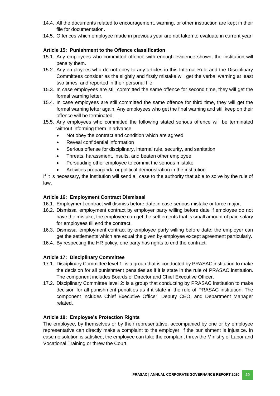- 14.4. All the documents related to encouragement, warning, or other instruction are kept in their file for documentation.
- 14.5. Offences which employee made in previous year are not taken to evaluate in current year.

#### **Article 15: Punishment to the Offence classification**

- 15.1. Any employees who committed offence with enough evidence shown, the institution will penalty them.
- 15.2. Any employees who do not obey to any articles in this Internal Rule and the Disciplinary Committees consider as the slightly and firstly mistake will get the verbal warning at least two times, and reported in their personal file.
- 15.3. In case employees are still committed the same offence for second time, they will get the formal warning letter.
- 15.4. In case employees are still committed the same offence for third time, they will get the formal warning letter again. Any employees who get the final warning and still keep on their offence will be terminated.
- 15.5. Any employees who committed the following stated serious offence will be terminated without informing them in advance.
	- Not obey the contract and condition which are agreed
	- Reveal confidential information
	- Serious offense for disciplinary, internal rule, security, and sanitation
	- Threats, harassment, insults, and beaten other employee
	- Persuading other employee to commit the serious mistake
	- Activities propaganda or political demonstration in the institution

If it is necessary, the institution will send all case to the authority that able to solve by the rule of law.

#### **Article 16: Employment Contract Dismissal**

- 16.1. Employment contract will dismiss before date in case serious mistake or force major.
- 16.2. Dismissal employment contract by employer party willing before date if employee do not have the mistake; the employee can get the settlements that is small amount of paid salary for employees till end the contract.
- 16.3. Dismissal employment contract by employee party willing before date; the employer can get the settlements which are equal the given by employee except agreement particularly.
- 16.4. By respecting the HR policy, one party has rights to end the contract.

#### **Article 17: Disciplinary Committee**

- 17.1. Disciplinary Committee level 1: is a group that is conducted by PRASAC institution to make the decision for all punishment penalties as if it is state in the rule of PRASAC institution. The component includes Boards of Director and Chief Executive Officer.
- 17.2. Disciplinary Committee level 2: is a group that conducting by PRASAC institution to make decision for all punishment penalties as if it state in the rule of PRASAC institution. The component includes Chief Executive Officer, Deputy CEO, and Department Manager related.

#### **Article 18: Employee's Protection Rights**

The employee, by themselves or by their representative, accompanied by one or by employee representative can directly make a complaint to the employer, if the punishment is injustice. In case no solution is satisfied, the employee can take the complaint threw the Ministry of Labor and Vocational Training or threw the Court.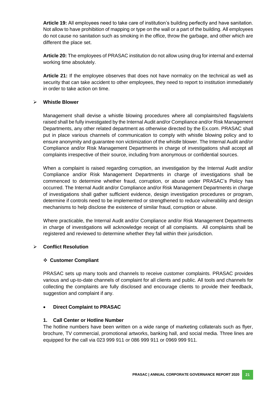**Article 19:** All employees need to take care of institution's building perfectly and have sanitation. Not allow to have prohibition of mapping or type on the wall or a part of the building. All employees do not cause no sanitation such as smoking in the office, throw the garbage, and other which are different the place set.

**Article 20:** The employees of PRASAC institution do not allow using drug for internal and external working time absolutely.

**Article 21:** If the employee observes that does not have normalcy on the technical as well as security that can take accident to other employees, they need to report to institution immediately in order to take action on time.

#### **Whistle Blower**

Management shall devise a whistle blowing procedures where all complaints/red flags/alerts raised shall be fully investigated by the Internal Audit and/or Compliance and/or Risk Management Departments, any other related department as otherwise directed by the Ex.com. PRASAC shall put in place various channels of communication to comply with whistle blowing policy and to ensure anonymity and guarantee non victimization of the whistle blower. The Internal Audit and/or Compliance and/or Risk Management Departments in charge of investigations shall accept all complaints irrespective of their source, including from anonymous or confidential sources.

When a complaint is raised regarding corruption, an investigation by the Internal Audit and/or Compliance and/or Risk Management Departments in charge of investigations shall be commenced to determine whether fraud, corruption, or abuse under PRASAC's Policy has occurred. The Internal Audit and/or Compliance and/or Risk Management Departments in charge of investigations shall gather sufficient evidence, design investigation procedures or program, determine if controls need to be implemented or strengthened to reduce vulnerability and design mechanisms to help disclose the existence of similar fraud, corruption or abuse.

Where practicable, the Internal Audit and/or Compliance and/or Risk Management Departments in charge of investigations will acknowledge receipt of all complaints. All complaints shall be registered and reviewed to determine whether they fall within their jurisdiction.

#### **Conflict Resolution**

#### **Customer Compliant**

PRASAC sets up many tools and channels to receive customer complaints. PRASAC provides various and up-to-date channels of complaint for all clients and public. All tools and channels for collecting the complaints are fully disclosed and encourage clients to provide their feedback, suggestion and complaint if any.

#### **Direct Complaint to PRASAC**

#### **1. Call Center or Hotline Number**

The hotline numbers have been written on a wide range of marketing collaterals such as flyer, brochure, TV commercial, promotional artworks, banking hall, and social media. Three lines are equipped for the call via 023 999 911 or 086 999 911 or 0969 999 911.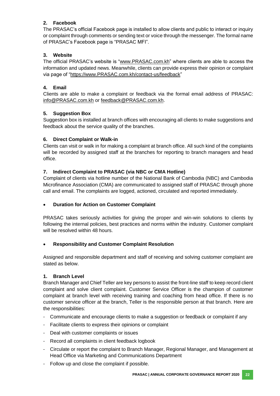# **2. Facebook**

The PRASAC's official Facebook page is installed to allow clients and public to interact or inquiry or complaint through comments or sending text or voice through the messenger. The formal name of PRASAC's Facebook page is "PRASAC MFI".

# **3. Website**

The official PRASAC's website is ["www.PRASAC.com.kh"](http://www.prasac.com.kh/) where clients are able to access the information and updated news. Meanwhile, clients can provide express their opinion or complaint via page of ["https://www.PRASAC.com.kh/contact-us/feedback"](https://www.prasac.com.kh/contact-us/feedback)

# **4. Email**

Clients are able to make a complaint or feedback via the formal email address of PRASAC: [info@PRASAC.com.kh](mailto:info@prasac.com.kh) or [feedback@PRASAC.com.kh.](mailto:feedback@prasac.com.kh)

# **5. Suggestion Box**

Suggestion box is installed at branch offices with encouraging all clients to make suggestions and feedback about the service quality of the branches.

#### **6. Direct Complaint or Walk-in**

Clients can visit or walk in for making a complaint at branch office. All such kind of the complaints will be recorded by assigned staff at the branches for reporting to branch managers and head office.

# **7. Indirect Complaint to PRASAC (via NBC or CMA Hotline)**

Complaint of clients via hotline number of the National Bank of Cambodia (NBC) and Cambodia Microfinance Association (CMA) are communicated to assigned staff of PRASAC through phone call and email. The complaints are logged, actioned, circulated and reported immediately.

#### **Duration for Action on Customer Complaint**

PRASAC takes seriously activities for giving the proper and win-win solutions to clients by following the internal policies, best practices and norms within the industry. Customer complaint will be resolved within 48 hours.

#### **Responsibility and Customer Complaint Resolution**

Assigned and responsible department and staff of receiving and solving customer complaint are stated as below.

#### **1. Branch Level**

Branch Manager and Chief Teller are key persons to assist the front-line staff to keep record client complaint and solve client complaint. Customer Service Officer is the champion of customer complaint at branch level with receiving training and coaching from head office. If there is no customer service officer at the branch, Teller is the responsible person at that branch. Here are the responsibilities:

- Communicate and encourage clients to make a suggestion or feedback or complaint if any
- Facilitate clients to express their opinions or complaint
- Deal with customer complaints or issues
- Record all complaints in client feedback logbook
- Circulate or report the complaint to Branch Manager, Regional Manager, and Management at Head Office via Marketing and Communications Department
- Follow up and close the complaint if possible.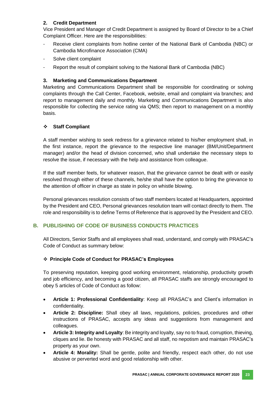# **2. Credit Department**

Vice President and Manager of Credit Department is assigned by Board of Director to be a Chief Complaint Officer. Here are the responsibilities:

- Receive client complaints from hotline center of the National Bank of Cambodia (NBC) or Cambodia Microfinance Association (CMA)
- Solve client complaint
- Report the result of complaint solving to the National Bank of Cambodia (NBC)

## **3. Marketing and Communications Department**

Marketing and Communications Department shall be responsible for coordinating or solving complaints through the Call Center, Facebook, website, email and complaint via branches; and report to management daily and monthly. Marketing and Communications Department is also responsible for collecting the service rating via QMS; then report to management on a monthly basis.

# **Staff Compliant**

A staff member wishing to seek redress for a grievance related to his/her employment shall, in the first instance, report the grievance to the respective line manager (BM/Unit/Department manager) and/or the head of division concerned, who shall undertake the necessary steps to resolve the issue, if necessary with the help and assistance from colleague.

If the staff member feels, for whatever reason, that the grievance cannot be dealt with or easily resolved through either of these channels, he/she shall have the option to bring the grievance to the attention of officer in charge as state in policy on whistle blowing.

Personal grievances resolution consists of two staff members located at Headquarters, appointed by the President and CEO, Personal grievances resolution team will contact directly to them. The role and responsibility is to define Terms of Reference that is approved by the President and CEO.

# **B. PUBLISHING OF CODE OF BUSINESS CONDUCTS PRACTICES**

All Directors, Senior Staffs and all employees shall read, understand, and comply with PRASAC's Code of Conduct as summary below:

#### **Principle Code of Conduct for PRASAC's Employees**

To preserving reputation, keeping good working environment, relationship, productivity growth and job efficiency, and becoming a good citizen, all PRASAC staffs are strongly encouraged to obey 5 articles of Code of Conduct as follow:

- **Article 1: Professional Confidentiality**: Keep all PRASAC's and Client's information in confidentiality.
- **Article 2: Discipline:** Shall obey all laws, regulations, policies, procedures and other instructions of PRASAC, accepts any ideas and suggestions from management and colleagues.
- **Article 3: Integrity and Loyalty**: Be integrity and loyalty, say no to fraud, corruption, thieving, cliques and lie. Be honesty with PRASAC and all staff, no nepotism and maintain PRASAC's property as your own.
- **Article 4: Morality:** Shall be gentle, polite and friendly, respect each other, do not use abusive or perverted word and good relationship with other.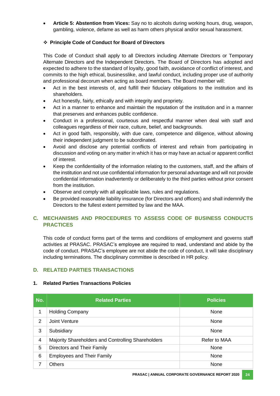**Article 5: Abstention from Vices:** Say no to alcohols during working hours, drug, weapon, gambling, violence, defame as well as harm others physical and/or sexual harassment.

## **Principle Code of Conduct for Board of Directors**

This Code of Conduct shall apply to all Directors including Alternate Directors or Temporary Alternate Directors and the Independent Directors. The Board of Directors has adopted and expected to adhere to the standard of loyalty, good faith, avoidance of conflict of interest, and commits to the high ethical, businesslike, and lawful conduct, including proper use of authority and professional decorum when acting as board members. The Board member will:

- Act in the best interests of, and fulfill their fiduciary obligations to the institution and its shareholders.
- Act honestly, fairly, ethically and with integrity and propriety.
- Act in a manner to enhance and maintain the reputation of the institution and in a manner that preserves and enhances public confidence.
- Conduct in a professional, courteous and respectful manner when deal with staff and colleagues regardless of their race, culture, belief, and backgrounds.
- Act in good faith, responsibly, with due care, competence and diligence, without allowing their independent judgment to be subordinated.
- Avoid and disclose any potential conflicts of interest and refrain from participating in discussion and voting on any matter in which it has or may have an actual or apparent conflict of interest.
- Keep the confidentiality of the information relating to the customers, staff, and the affairs of the institution and not use confidential information for personal advantage and will not provide confidential information inadvertently or deliberately to the third parties without prior consent from the institution.
- Observe and comply with all applicable laws, rules and regulations.
- Be provided reasonable liability insurance (for Directors and officers) and shall indemnify the Directors to the fullest extent permitted by law and the MAA.

# **C. MECHANISMS AND PROCEDURES TO ASSESS CODE OF BUSINESS CONDUCTS PRACTICES**

This code of conduct forms part of the terms and conditions of employment and governs staff activities at PRASAC. PRASAC's employee are required to read, understand and abide by the code of conduct. PRASAC's employee are not abide the code of conduct, it will take disciplinary including terminations. The disciplinary committee is described in HR policy.

# **D. RELATED PARTIES TRANSACTIONS**

| No.            | <b>Related Parties</b>                             | <b>Policies</b> |
|----------------|----------------------------------------------------|-----------------|
| 1              | <b>Holding Company</b>                             | None            |
| 2              | Joint Venture                                      | None            |
| 3              | Subsidiary                                         | None            |
| $\overline{4}$ | Majority Shareholders and Controlling Shareholders | Refer to MAA    |
| 5              | Directors and Their Family                         | None            |
| 6              | <b>Employees and Their Family</b>                  | None            |
| 7              | <b>Others</b>                                      | None            |

#### **1. Related Parties Transactions Policies**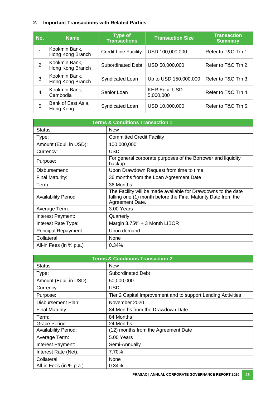# **2. Important Transactions with Related Parties**

| No.            | <b>Name</b>                       | <b>Type of</b><br><b>Transactions</b> | <b>Transaction Size</b>           | <b>Transaction</b><br><b>Summary</b> |
|----------------|-----------------------------------|---------------------------------------|-----------------------------------|--------------------------------------|
|                | Kookmin Bank,<br>Hong Kong Branch | <b>Credit Line Facility</b>           | USD 100,000,000                   | Refer to T&C Trn 1.                  |
| $\overline{2}$ | Kookmin Bank,<br>Hong Kong Branch | Subordinated Debt                     | USD 50,000,000                    | Refer to T&C Trn 2.                  |
| 3              | Kookmin Bank,<br>Hong Kong Branch | Syndicated Loan                       | Up to USD 150,000,000             | Refer to T&C Trn 3.                  |
| 4              | Kookmin Bank,<br>Cambodia         | Senior Loan                           | <b>KHR Equi. USD</b><br>5,000,000 | Refer to T&C Trn 4.                  |
| 5              | Bank of East Asia,<br>Hong Kong   | Syndicated Loan                       | USD 10,000,000                    | Refer to T&C Trn 5.                  |

| <b>Terms &amp; Conditions Transaction 1</b> |                                                                                                                                                   |  |  |
|---------------------------------------------|---------------------------------------------------------------------------------------------------------------------------------------------------|--|--|
| Status:                                     | <b>New</b>                                                                                                                                        |  |  |
| Type:                                       | <b>Committed Credit Facility</b>                                                                                                                  |  |  |
| Amount (Equi. in USD):                      | 100,000,000                                                                                                                                       |  |  |
| Currency:                                   | <b>USD</b>                                                                                                                                        |  |  |
| Purpose:                                    | For general corporate purposes of the Borrower and liquidity<br>backup.                                                                           |  |  |
| Disbursement:                               | Upon Drawdown Request from time to time                                                                                                           |  |  |
| Final Maturity:                             | 36 months from the Loan Agreement Date                                                                                                            |  |  |
| Term:                                       | 36 Months                                                                                                                                         |  |  |
| <b>Availability Period</b>                  | The Facility will be made available for Drawdowns to the date<br>falling one (1) month before the Final Maturity Date from the<br>Agreement Date. |  |  |
| Average Term:                               | 3.00 Years                                                                                                                                        |  |  |
| Interest Payment:                           | Quarterly                                                                                                                                         |  |  |
| Interest Rate Type:                         | Margin $3.75% + 3$ Month LIBOR                                                                                                                    |  |  |
| Principal Repayment:                        | Upon demand                                                                                                                                       |  |  |
| Collateral:                                 | None                                                                                                                                              |  |  |
| All-in Fees (in % p.a.)                     | 0.34%                                                                                                                                             |  |  |

| <b>Terms &amp; Conditions Transaction 2</b> |                                                              |  |  |
|---------------------------------------------|--------------------------------------------------------------|--|--|
| Status:                                     | <b>New</b>                                                   |  |  |
| Type:                                       | <b>Subordinated Debt</b>                                     |  |  |
| Amount (Equi. in USD):                      | 50,000,000                                                   |  |  |
| Currency:                                   | <b>USD</b>                                                   |  |  |
| Purpose:                                    | Tier 2 Capital Improvement and to support Lending Activities |  |  |
| <b>Disbursement Plan:</b>                   | November 2020                                                |  |  |
| Final Maturity:                             | 84 Months from the Drawdown Date                             |  |  |
| Term:                                       | 84 Months                                                    |  |  |
| Grace Period:                               | 24 Months                                                    |  |  |
| <b>Availability Period:</b>                 | (12) months from the Agreement Date                          |  |  |
| Average Term:                               | 5.00 Years                                                   |  |  |
| Interest Payment:                           | Semi-Annually                                                |  |  |
| Interest Rate (Net):                        | 7.70%                                                        |  |  |
| Collateral:                                 | None                                                         |  |  |
| All-in Fees (in % p.a.)                     | 0.34%                                                        |  |  |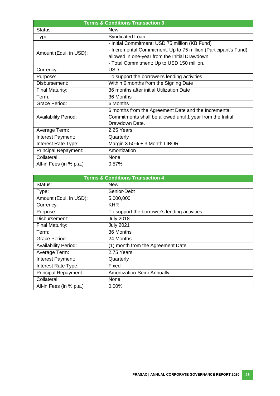| <b>Terms &amp; Conditions Transaction 3</b> |                                                                  |  |  |
|---------------------------------------------|------------------------------------------------------------------|--|--|
| Status:                                     | <b>New</b>                                                       |  |  |
| Type:                                       | Syndicated Loan                                                  |  |  |
|                                             | - Initial Commitment: USD 75 million (KB Fund)                   |  |  |
| Amount (Equi. in USD):                      | - Incremental Commitment: Up to 75 million (Participant's Fund), |  |  |
|                                             | allowed in one-year from the Initial Drawdown.                   |  |  |
|                                             | - Total Commitment: Up to USD 150 million.                       |  |  |
| Currency:                                   | <b>USD</b>                                                       |  |  |
| Purpose:                                    | To support the borrower's lending activities                     |  |  |
| Disbursement:                               | Within 6 months from the Signing Date                            |  |  |
| <b>Final Maturity:</b>                      | 36 months after initial Utilization Date                         |  |  |
| Term:                                       | 36 Months                                                        |  |  |
| Grace Period:                               | 6 Months                                                         |  |  |
|                                             | 6 months from the Agreement Date and the Incremental             |  |  |
| <b>Availability Period:</b>                 | Commitments shall be allowed until 1 year from the Initial       |  |  |
|                                             | Drawdown Date.                                                   |  |  |
| Average Term:                               | 2.25 Years                                                       |  |  |
| Interest Payment:                           | Quarterly                                                        |  |  |
| Interest Rate Type:                         | Margin 3.50% + 3 Month LIBOR                                     |  |  |
| <b>Principal Repayment:</b>                 | Amortization                                                     |  |  |
| Collateral:                                 | None                                                             |  |  |
| All-in Fees (in % p.a.)                     | 0.57%                                                            |  |  |

| <b>Terms &amp; Conditions Transaction 4</b> |                                              |  |  |
|---------------------------------------------|----------------------------------------------|--|--|
| Status:                                     | <b>New</b>                                   |  |  |
| Type:                                       | Senior-Debt                                  |  |  |
| Amount (Equi. in USD):                      | 5,000,000                                    |  |  |
| Currency:                                   | <b>KHR</b>                                   |  |  |
| Purpose:                                    | To support the borrower's lending activities |  |  |
| Disbursement:                               | <b>July 2018</b>                             |  |  |
| Final Maturity:                             | <b>July 2021</b>                             |  |  |
| Term:                                       | 36 Months                                    |  |  |
| Grace Period:                               | 24 Months                                    |  |  |
| <b>Availability Period:</b>                 | (1) month from the Agreement Date            |  |  |
| Average Term:                               | 2.75 Years                                   |  |  |
| Interest Payment:                           | Quarterly                                    |  |  |
| Interest Rate Type:                         | Fixed                                        |  |  |
| <b>Principal Repayment:</b>                 | Amortization-Semi-Annually                   |  |  |
| Collateral:                                 | None                                         |  |  |
| All-in Fees (in % p.a.)                     | 0.00%                                        |  |  |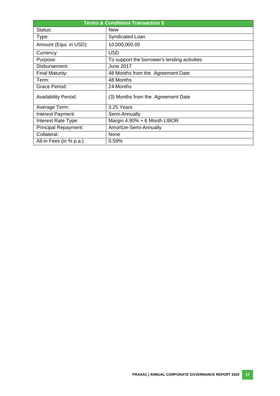| <b>Terms &amp; Conditions Transaction 5</b> |                                              |  |  |
|---------------------------------------------|----------------------------------------------|--|--|
| Status:                                     | <b>New</b>                                   |  |  |
| Type:                                       | Syndicated Loan                              |  |  |
| Amount (Equi. in USD):                      | 10,000,000.00                                |  |  |
| Currency:                                   | USD                                          |  |  |
| Purpose:                                    | To support the borrower's lending activities |  |  |
| Disbursement:                               | June 2017                                    |  |  |
| Final Maturity:                             | 48 Months from the Agreement Date            |  |  |
| Term:                                       | 48 Months                                    |  |  |
| Grace Period:                               | 24 Months                                    |  |  |
| <b>Availability Period:</b>                 | (3) Months from the Agreement Date           |  |  |
| Average Term:                               | 3.25 Years                                   |  |  |
| Interest Payment:                           | Semi-Annually                                |  |  |
| Interest Rate Type:                         | Margin 4.90% + 6 Month LIBOR                 |  |  |
| Principal Repayment:                        | Amortize-Semi-Annually                       |  |  |
| Collateral:                                 | None                                         |  |  |
| All-in Fees (in % p.a.)                     | 0.59%                                        |  |  |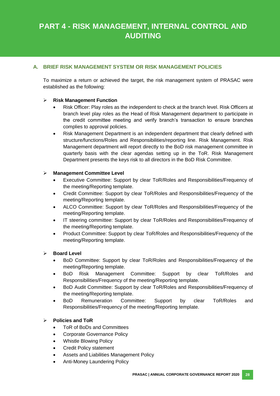# **PART 4 - RISK MANAGEMENT, INTERNAL CONTROL AND AUDITING**

# **A. BRIEF RISK MANAGEMENT SYSTEM OR RISK MANAGEMENT POLICIES**

To maximize a return or achieved the target, the risk management system of PRASAC were established as the following:

#### **Risk Management Function**

- Risk Officer: Play roles as the independent to check at the branch level. Risk Officers at branch level play roles as the Head of Risk Management department to participate in the credit committee meeting and verify branch's transaction to ensure branches complies to approval policies.
- Risk Management Department is an independent department that clearly defined with structure/functions/Roles and Responsibilities/reporting line. Risk Management. Risk Management department will report directly to the BoD risk management committee in quarterly basis with the clear agendas setting up in the ToR. Risk Management Department presents the keys risk to all directors in the BoD Risk Committee.

#### **Management Committee Level**

- Executive Committee: Support by clear ToR/Roles and Responsibilities/Frequency of the meeting/Reporting template.
- Credit Committee: Support by clear ToR/Roles and Responsibilities/Frequency of the meeting/Reporting template.
- ALCO Committee: Support by clear ToR/Roles and Responsibilities/Frequency of the meeting/Reporting template.
- IT steering committee: Support by clear ToR/Roles and Responsibilities/Frequency of the meeting/Reporting template.
- Product Committee: Support by clear ToR/Roles and Responsibilities/Frequency of the meeting/Reporting template.

#### **Board Level**

- BoD Committee: Support by clear ToR/Roles and Responsibilities/Frequency of the meeting/Reporting template.
- BoD Risk Management Committee: Support by clear ToR/Roles and Responsibilities/Frequency of the meeting/Reporting template.
- BoD Audit Committee: Support by clear ToR/Roles and Responsibilities/Frequency of the meeting/Reporting template.
- BoD Remuneration Committee: Support by clear ToR/Roles and Responsibilities/Frequency of the meeting/Reporting template.

#### **Policies and ToR**

- ToR of BoDs and Committees
- Corporate Governance Policy
- Whistle Blowing Policy
- Credit Policy statement
- Assets and Liabilities Management Policy
- Anti-Money Laundering Policy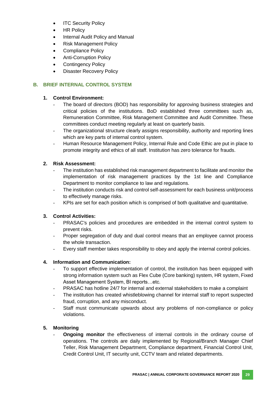- **ITC Security Policy**
- HR Policy
- Internal Audit Policy and Manual
- Risk Management Policy
- Compliance Policy
- Anti-Corruption Policy
- Contingency Policy
- Disaster Recovery Policy

# **B. BRIEF INTERNAL CONTROL SYSTEM**

# **1. Control Environment:**

- The board of directors (BOD) has responsibility for approving business strategies and critical policies of the institutions. BoD established three committees such as, Remuneration Committee, Risk Management Committee and Audit Committee. These committees conduct meeting regularly at least on quarterly basis.
- The organizational structure clearly assigns responsibility, authority and reporting lines which are key parts of internal control system.
- Human Resource Management Policy, Internal Rule and Code Ethic are put in place to promote integrity and ethics of all staff. Institution has zero tolerance for frauds.

# **2. Risk Assessment:**

- The institution has established risk management department to facilitate and monitor the implementation of risk management practices by the 1st line and Compliance Department to monitor compliance to law and regulations.
- The institution conducts risk and control self-assessment for each business unit/process to effectively manage risks.
- KPIs are set for each position which is comprised of both qualitative and quantitative.

#### **3. Control Activities:**

- PRASAC's policies and procedures are embedded in the internal control system to prevent risks.
- Proper segregation of duty and dual control means that an employee cannot process the whole transaction.
- Every staff member takes responsibility to obey and apply the internal control policies.

# **4. Information and Communication:**

- To support effective implementation of control, the institution has been equipped with strong information system such as Flex Cube (Core banking) system, HR system, Fixed Asset Management System, BI reports…etc.
- PRASAC has hotline 24/7 for internal and external stakeholders to make a complaint
- The institution has created whistleblowing channel for internal staff to report suspected fraud, corruption, and any misconduct.
- Staff must communicate upwards about any problems of non-compliance or policy violations.

#### **5. Monitoring**

- **Ongoing monitor** the effectiveness of internal controls in the ordinary course of operations. The controls are daily implemented by Regional/Branch Manager Chief Teller, Risk Management Department, Compliance department, Financial Control Unit, Credit Control Unit, IT security unit, CCTV team and related departments.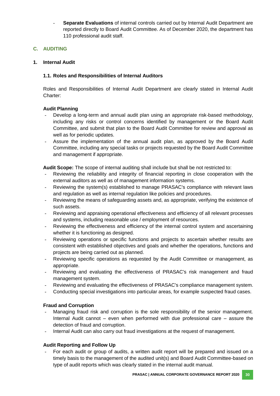Separate Evaluations of internal controls carried out by Internal Audit Department are reported directly to Board Audit Committee. As of December 2020, the department has 110 professional audit staff.

# **C. AUDITING**

#### **1. Internal Audit**

#### **1.1. Roles and Responsibilities of Internal Auditors**

Roles and Responsibilities of Internal Audit Department are clearly stated in Internal Audit Charter:

#### **Audit Planning**

- Develop a long-term and annual audit plan using an appropriate risk-based methodology, including any risks or control concerns identified by management or the Board Audit Committee, and submit that plan to the Board Audit Committee for review and approval as well as for periodic updates.
- Assure the implementation of the annual audit plan, as approved by the Board Audit Committee, including any special tasks or projects requested by the Board Audit Committee and management if appropriate.

**Audit Scope:** The scope of internal auditing shall include but shall be not restricted to:

- Reviewing the reliability and integrity of financial reporting in close cooperation with the external auditors as well as of management information systems.
- Reviewing the system(s) established to manage PRASAC's compliance with relevant laws and regulation as well as internal regulation like policies and procedures.
- Reviewing the means of safeguarding assets and, as appropriate, verifying the existence of such assets.
- Reviewing and appraising operational effectiveness and efficiency of all relevant processes and systems, including reasonable use / employment of resources.
- Reviewing the effectiveness and efficiency of the internal control system and ascertaining whether it is functioning as designed.
- Reviewing operations or specific functions and projects to ascertain whether results are consistent with established objectives and goals and whether the operations, functions and projects are being carried out as planned.
- Reviewing specific operations as requested by the Audit Committee or management, as appropriate.
- Reviewing and evaluating the effectiveness of PRASAC's risk management and fraud management system.
- Reviewing and evaluating the effectiveness of PRASAC's compliance management system.
- Conducting special investigations into particular areas, for example suspected fraud cases.

#### **Fraud and Corruption**

- Managing fraud risk and corruption is the sole responsibility of the senior management. Internal Audit cannot – even when performed with due professional care – assure the detection of fraud and corruption.
- Internal Audit can also carry out fraud investigations at the request of management.

#### **Audit Reporting and Follow Up**

For each audit or group of audits, a written audit report will be prepared and issued on a timely basis to the management of the audited unit(s) and Board Audit Committee-based on type of audit reports which was clearly stated in the internal audit manual.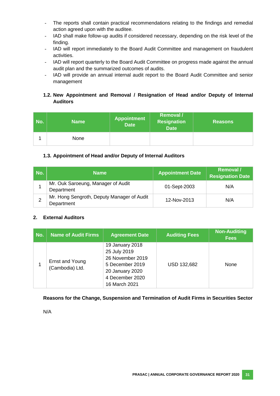- The reports shall contain practical recommendations relating to the findings and remedial action agreed upon with the auditee.
- IAD shall make follow-up audits if considered necessary, depending on the risk level of the finding.
- IAD will report immediately to the Board Audit Committee and management on fraudulent activities.
- IAD will report quarterly to the Board Audit Committee on progress made against the annual audit plan and the summarized outcomes of audits.
- IAD will provide an annual internal audit report to the Board Audit Committee and senior management

# **1.2. New Appointment and Removal / Resignation of Head and/or Deputy of Internal Auditors**

| No. | <b>Name</b> | <b>Appointment</b><br><b>Date</b> | <b>Removal</b> /<br><b>Resignation</b><br><b>Date</b> | <b>Reasons</b> |
|-----|-------------|-----------------------------------|-------------------------------------------------------|----------------|
|     | None        |                                   |                                                       |                |

# **1.3. Appointment of Head and/or Deputy of Internal Auditors**

| No. | <b>Name</b>                                              | <b>Appointment Date</b> | <b>Removal</b><br><b>Resignation Date</b> |
|-----|----------------------------------------------------------|-------------------------|-------------------------------------------|
|     | Mr. Ouk Saroeung, Manager of Audit<br>Department         | 01-Sept-2003            | N/A                                       |
| ົ   | Mr. Hong Sengroth, Deputy Manager of Audit<br>Department | 12-Nov-2013             | N/A                                       |

#### **2. External Auditors**

| No. | <b>Name of Audit Firms</b>                | <b>Agreement Date</b>                                                                                                         | <b>Auditing Fees</b> | <b>Non-Auditing</b><br><b>Fees</b> |
|-----|-------------------------------------------|-------------------------------------------------------------------------------------------------------------------------------|----------------------|------------------------------------|
|     | <b>Ernst and Young</b><br>(Cambodia) Ltd. | 19 January 2018<br>25 July 2019<br>26 November 2019<br>5 December 2019<br>20 January 2020<br>4 December 2020<br>16 March 2021 | USD 132,682          | None                               |

# **Reasons for the Change, Suspension and Termination of Audit Firms in Securities Sector**

N/A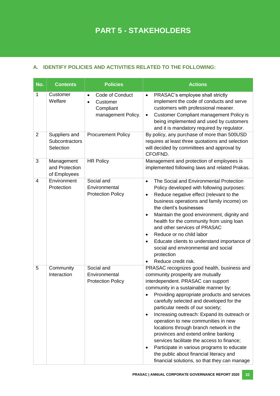# **A. IDENTIFY POLICIES AND ACTIVITIES RELATED TO THE FOLLOWING:**

| No.            | <b>Contents</b>                              | <b>Policies</b>                                                                          | <b>Actions</b>                                                                                                                                                                                                                                                                                                                                                                                                                                                                                                                                                                                                                                                                                       |
|----------------|----------------------------------------------|------------------------------------------------------------------------------------------|------------------------------------------------------------------------------------------------------------------------------------------------------------------------------------------------------------------------------------------------------------------------------------------------------------------------------------------------------------------------------------------------------------------------------------------------------------------------------------------------------------------------------------------------------------------------------------------------------------------------------------------------------------------------------------------------------|
| 1              | Customer<br>Welfare                          | Code of Conduct<br>$\bullet$<br>Customer<br>$\bullet$<br>Compliant<br>management Policy. | PRASAC's employee shall strictly<br>$\bullet$<br>implement the code of conducts and serve<br>customers with professional meaner.<br><b>Customer Compliant management Policy is</b><br>$\bullet$<br>being implemented and used by customers<br>and it is mandatory required by regulator.                                                                                                                                                                                                                                                                                                                                                                                                             |
| $\overline{2}$ | Suppliers and<br>Subcontractors<br>Selection | <b>Procurement Policy</b>                                                                | By policy, any purchase of more than 500USD<br>requires at least three quotations and selection<br>will decided by committees and approval by<br>CFO/FND.                                                                                                                                                                                                                                                                                                                                                                                                                                                                                                                                            |
| 3              | Management<br>and Protection<br>of Employees | <b>HR Policy</b>                                                                         | Management and protection of employees is<br>implemented following laws and related Prakas.                                                                                                                                                                                                                                                                                                                                                                                                                                                                                                                                                                                                          |
| $\overline{4}$ | Environment<br>Protection                    | Social and<br>Environmental<br><b>Protection Policy</b>                                  | The Social and Environmental Protection<br>$\bullet$<br>Policy developed with following purposes:<br>Reduce negative effect (relevant to the<br>$\bullet$<br>business operations and family income) on<br>the client's businesses<br>Maintain the good environment, dignity and<br>٠<br>health for the community from using loan<br>and other services of PRASAC<br>Reduce or no child labor<br>Educate clients to understand importance of<br>$\bullet$<br>social and environmental and social<br>protection<br>Reduce credit risk.                                                                                                                                                                 |
| 5              | Community<br>Interaction                     | Social and<br>Environmental<br><b>Protection Policy</b>                                  | PRASAC recognizes good health, business and<br>community prosperity are mutually<br>interdependent. PRASAC can support<br>community in a sustainable manner by:<br>Providing appropriate products and services<br>$\bullet$<br>carefully selected and developed for the<br>particular needs of our society;<br>Increasing outreach: Expand its outreach or<br>$\bullet$<br>operation to new communities in new<br>locations through branch network in the<br>provinces and extend online banking<br>services facilitate the access to finance;<br>Participate in various programs to educate<br>$\bullet$<br>the public about financial literacy and<br>financial solutions, so that they can manage |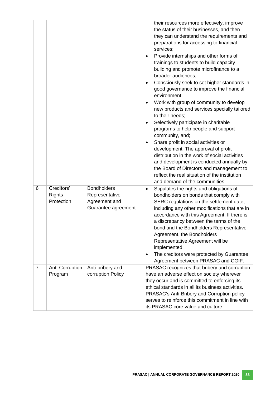| their resources more effectively, improve<br>the status of their businesses, and then<br>they can understand the requirements and<br>preparations for accessing to financial<br>services;<br>Provide internships and other forms of<br>trainings to students to build capacity<br>building and promote microfinance to a<br>broader audiences;<br>Consciously seek to set higher standards in<br>$\bullet$<br>good governance to improve the financial<br>environment;<br>Work with group of community to develop<br>$\bullet$<br>new products and services specially tailored<br>to their needs;<br>Selectively participate in charitable<br>$\bullet$<br>programs to help people and support<br>community, and; |  |
|-------------------------------------------------------------------------------------------------------------------------------------------------------------------------------------------------------------------------------------------------------------------------------------------------------------------------------------------------------------------------------------------------------------------------------------------------------------------------------------------------------------------------------------------------------------------------------------------------------------------------------------------------------------------------------------------------------------------|--|
| Share profit in social activities or<br>$\bullet$<br>development: The approval of profit<br>distribution in the work of social activities<br>and development is conducted annually by<br>the Board of Directors and management to<br>reflect the real situation of the institution<br>and demand of the communities.                                                                                                                                                                                                                                                                                                                                                                                              |  |
| Creditors'<br><b>Bondholders</b><br>6<br>Stipulates the rights and obligations of<br>٠                                                                                                                                                                                                                                                                                                                                                                                                                                                                                                                                                                                                                            |  |
| <b>Rights</b><br>Representative<br>bondholders on bonds that comply with                                                                                                                                                                                                                                                                                                                                                                                                                                                                                                                                                                                                                                          |  |
| Protection<br>Agreement and<br>SERC regulations on the settlement date,<br>Guarantee agreement<br>including any other modifications that are in<br>accordance with this Agreement. If there is<br>a discrepancy between the terms of the<br>bond and the Bondholders Representative<br>Agreement, the Bondholders<br>Representative Agreement will be<br>implemented.<br>The creditors were protected by Guarantee<br>$\bullet$<br>Agreement between PRASAC and CGIF.<br>$\overline{7}$                                                                                                                                                                                                                           |  |
| Anti-bribery and<br>PRASAC recognizes that bribery and corruption<br>Anti-Corruption<br>corruption Policy<br>have an adverse effect on society wherever<br>Program                                                                                                                                                                                                                                                                                                                                                                                                                                                                                                                                                |  |
| they occur and is committed to enforcing its                                                                                                                                                                                                                                                                                                                                                                                                                                                                                                                                                                                                                                                                      |  |
|                                                                                                                                                                                                                                                                                                                                                                                                                                                                                                                                                                                                                                                                                                                   |  |
| ethical standards in all its business activities.                                                                                                                                                                                                                                                                                                                                                                                                                                                                                                                                                                                                                                                                 |  |
| PRASAC's Anti-Bribery and Corruption policy<br>serves to reinforce this commitment in line with                                                                                                                                                                                                                                                                                                                                                                                                                                                                                                                                                                                                                   |  |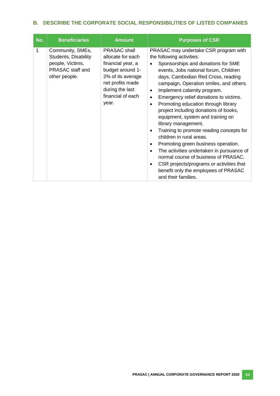# **B. DESCRIBE THE CORPORATE SOCIAL RESPONSIBILITIES OF LISTED COMPANIES**

| No. | <b>Beneficiaries</b>                                                                              | <b>Amount</b>                                                                                                                                                               | <b>Purposes of CSR</b>                                                                                                                                                                                                                                                                                                                                                                                                                                                                                                                                                                                                                                                                                                                                                           |
|-----|---------------------------------------------------------------------------------------------------|-----------------------------------------------------------------------------------------------------------------------------------------------------------------------------|----------------------------------------------------------------------------------------------------------------------------------------------------------------------------------------------------------------------------------------------------------------------------------------------------------------------------------------------------------------------------------------------------------------------------------------------------------------------------------------------------------------------------------------------------------------------------------------------------------------------------------------------------------------------------------------------------------------------------------------------------------------------------------|
| 1   | Community, SMEs,<br>Students, Disability<br>people, Victims,<br>PRASAC staff and<br>other people. | <b>PRASAC</b> shall<br>allocate for each<br>financial year, a<br>budget around 1-<br>2% of its average<br>net profits made<br>during the last<br>financial of each<br>year. | PRASAC may undertake CSR program with<br>the following activities:<br>Sponsorships and donations for SME<br>events, Jobs national forum, Children<br>days, Cambodian Red Cross, reading<br>campaign, Operation smiles, and others.<br>Implement calamity program.<br>Emergency relief donations to victims.<br>Promoting education through library<br>project including donations of books,<br>equipment, system and training on<br>library management.<br>Training to promote reading concepts for<br>children in rural areas.<br>Promoting green business operation.<br>٠<br>The activities undertaken in pursuance of<br>normal course of business of PRASAC.<br>CSR projects/programs or activities that<br>٠<br>benefit only the employees of PRASAC<br>and their families. |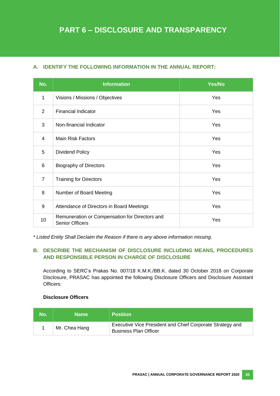# **A. IDENTIFY THE FOLLOWING INFORMATION IN THE ANNUAL REPORT:**

| No.            | <b>Information</b>                                                              | Yes/No |
|----------------|---------------------------------------------------------------------------------|--------|
| 1              | Visions / Missions / Objectives                                                 | Yes    |
| $\overline{2}$ | <b>Financial Indicator</b>                                                      | Yes    |
| 3              | Non-financial Indicator                                                         | Yes    |
| $\overline{4}$ | <b>Main Risk Factors</b>                                                        | Yes    |
| 5              | <b>Dividend Policy</b>                                                          | Yes    |
| 6              | <b>Biography of Directors</b><br>Yes                                            |        |
| $\overline{7}$ | <b>Training for Directors</b>                                                   | Yes    |
| 8              | Yes<br>Number of Board Meeting                                                  |        |
| 9              | Attendance of Directors in Board Meetings                                       | Yes    |
| 10             | Remuneration or Compensation for Directors and<br>Yes<br><b>Senior Officers</b> |        |

*\* Listed Entity Shall Declaim the Reason if there is any above information missing.*

# **B. DESCRIBE THE MECHANISM OF DISCLOSURE INCLUDING MEANS, PROCEDURES AND RESPONSIBLE PERSON IN CHARGE OF DISCLOSURE**

According to SERC's Prakas No. 007/18 K.M.K./BB.K. dated 30 October 2018 on Corporate Disclosure, PRASAC has appointed the following Disclosure Officers and Disclosure Assistant Officers:

# **Disclosure Officers**

| No. | <b>Name</b>   | <b>Position</b>                                                                           |
|-----|---------------|-------------------------------------------------------------------------------------------|
|     | Mr. Chea Hang | Executive Vice President and Chief Corporate Strategy and<br><b>Business Plan Officer</b> |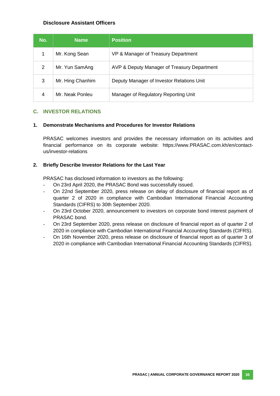## **Disclosure Assistant Officers**

| No. | <b>Name</b>      | <b>Position</b>                             |
|-----|------------------|---------------------------------------------|
|     | Mr. Kong Sean    | VP & Manager of Treasury Department         |
| 2   | Mr. Yun SamAng   | AVP & Deputy Manager of Treasury Department |
| 3   | Mr. Hing Chanhim | Deputy Manager of Investor Relations Unit   |
| 4   | Mr. Neak Ponleu  | Manager of Regulatory Reporting Unit        |

#### **C. INVESTOR RELATIONS**

#### **1. Demonstrate Mechanisms and Procedures for Investor Relations**

PRASAC welcomes investors and provides the necessary information on its activities and financial performance on its corporate website: https://www.PRASAC.com.kh/en/contactus/investor-relations

#### **2. Briefly Describe Investor Relations for the Last Year**

PRASAC has disclosed information to investors as the following:

- On 23rd April 2020, the PRASAC Bond was successfully issued.
- On 22nd September 2020, press release on delay of disclosure of financial report as of quarter 2 of 2020 in compliance with Cambodian International Financial Accounting Standards (CIFRS) to 30th September 2020.
- On 23rd October 2020, announcement to investors on corporate bond interest payment of PRASAC bond.
- On 23rd September 2020, press release on disclosure of financial report as of quarter 2 of 2020 in compliance with Cambodian International Financial Accounting Standards (CIFRS).
- On 16th November 2020, press release on disclosure of financial report as of quarter 3 of 2020 in compliance with Cambodian International Financial Accounting Standards (CIFRS).